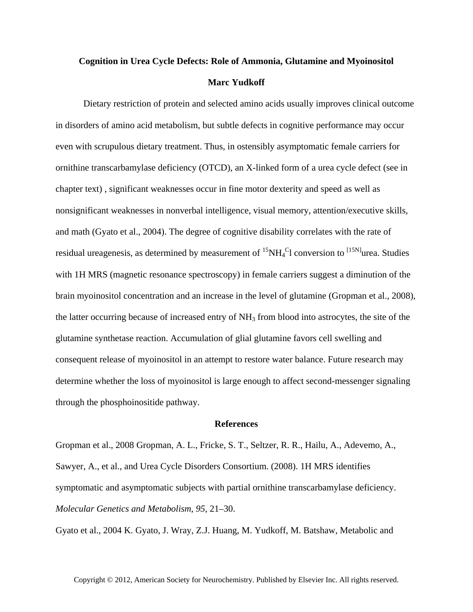## **Cognition in Urea Cycle Defects: Role of Ammonia, Glutamine and Myoinositol Marc Yudkoff**

Dietary restriction of protein and selected amino acids usually improves clinical outcome in disorders of amino acid metabolism, but subtle defects in cognitive performance may occur even with scrupulous dietary treatment. Thus, in ostensibly asymptomatic female carriers for ornithine transcarbamylase deficiency (OTCD), an X-linked form of a urea cycle defect (see in chapter text) , significant weaknesses occur in fine motor dexterity and speed as well as nonsignificant weaknesses in nonverbal intelligence, visual memory, attention/executive skills, and math (Gyato et al., 2004). The degree of cognitive disability correlates with the rate of residual ureagenesis, as determined by measurement of  ${}^{15}NH_4{}^{C}$ l conversion to  ${}^{[15N]}$ urea. Studies with 1H MRS (magnetic resonance spectroscopy) in female carriers suggest a diminution of the brain myoinositol concentration and an increase in the level of glutamine (Gropman et al., 2008), the latter occurring because of increased entry of NH3 from blood into astrocytes, the site of the glutamine synthetase reaction. Accumulation of glial glutamine favors cell swelling and consequent release of myoinositol in an attempt to restore water balance. Future research may determine whether the loss of myoinositol is large enough to affect second-messenger signaling through the phosphoinositide pathway.

## **References**

Gropman et al., 2008 Gropman, A. L., Fricke, S. T., Seltzer, R. R., Hailu, A., Adevemo, A., Sawyer, A., et al., and Urea Cycle Disorders Consortium. (2008). 1H MRS identifies symptomatic and asymptomatic subjects with partial ornithine transcarbamylase deficiency. *Molecular Genetics and Metabolism*, *95*, 21–30.

Gyato et al., 2004 K. Gyato, J. Wray, Z.J. Huang, M. Yudkoff, M. Batshaw, Metabolic and